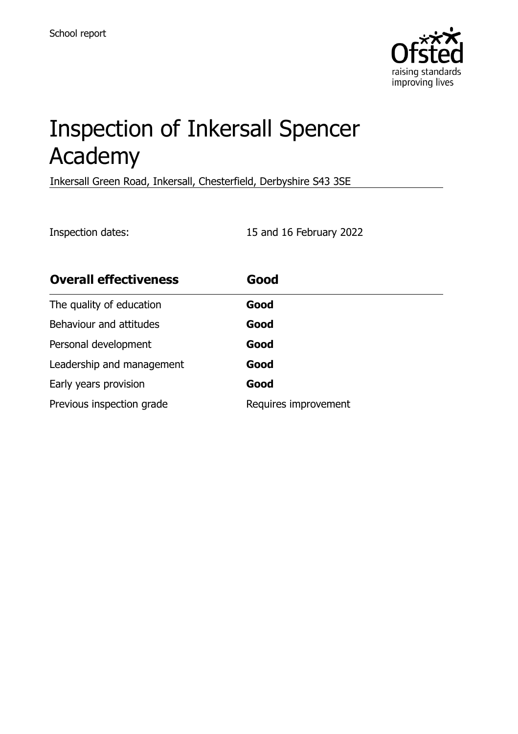

# Inspection of Inkersall Spencer Academy

Inkersall Green Road, Inkersall, Chesterfield, Derbyshire S43 3SE

Inspection dates: 15 and 16 February 2022

| <b>Overall effectiveness</b> | Good                 |
|------------------------------|----------------------|
| The quality of education     | Good                 |
| Behaviour and attitudes      | Good                 |
| Personal development         | Good                 |
| Leadership and management    | Good                 |
| Early years provision        | Good                 |
| Previous inspection grade    | Requires improvement |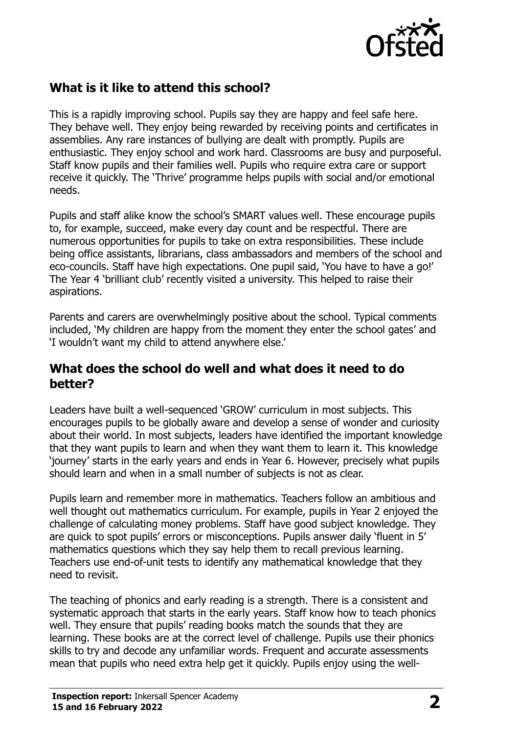

# **What is it like to attend this school?**

This is a rapidly improving school. Pupils say they are happy and feel safe here. They behave well. They enjoy being rewarded by receiving points and certificates in assemblies. Any rare instances of bullying are dealt with promptly. Pupils are enthusiastic. They enjoy school and work hard. Classrooms are busy and purposeful. Staff know pupils and their families well. Pupils who require extra care or support receive it quickly. The 'Thrive' programme helps pupils with social and/or emotional needs.

Pupils and staff alike know the school's SMART values well. These encourage pupils to, for example, succeed, make every day count and be respectful. There are numerous opportunities for pupils to take on extra responsibilities. These include being office assistants, librarians, class ambassadors and members of the school and eco-councils. Staff have high expectations. One pupil said, 'You have to have a go!' The Year 4 'brilliant club' recently visited a university. This helped to raise their aspirations.

Parents and carers are overwhelmingly positive about the school. Typical comments included, 'My children are happy from the moment they enter the school gates' and 'I wouldn't want my child to attend anywhere else.'

#### **What does the school do well and what does it need to do better?**

Leaders have built a well-sequenced 'GROW' curriculum in most subjects. This encourages pupils to be globally aware and develop a sense of wonder and curiosity about their world. In most subjects, leaders have identified the important knowledge that they want pupils to learn and when they want them to learn it. This knowledge 'journey' starts in the early years and ends in Year 6. However, precisely what pupils should learn and when in a small number of subjects is not as clear.

Pupils learn and remember more in mathematics. Teachers follow an ambitious and well thought out mathematics curriculum. For example, pupils in Year 2 enjoyed the challenge of calculating money problems. Staff have good subject knowledge. They are quick to spot pupils' errors or misconceptions. Pupils answer daily 'fluent in 5' mathematics questions which they say help them to recall previous learning. Teachers use end-of-unit tests to identify any mathematical knowledge that they need to revisit.

The teaching of phonics and early reading is a strength. There is a consistent and systematic approach that starts in the early years. Staff know how to teach phonics well. They ensure that pupils' reading books match the sounds that they are learning. These books are at the correct level of challenge. Pupils use their phonics skills to try and decode any unfamiliar words. Frequent and accurate assessments mean that pupils who need extra help get it quickly. Pupils enjoy using the well-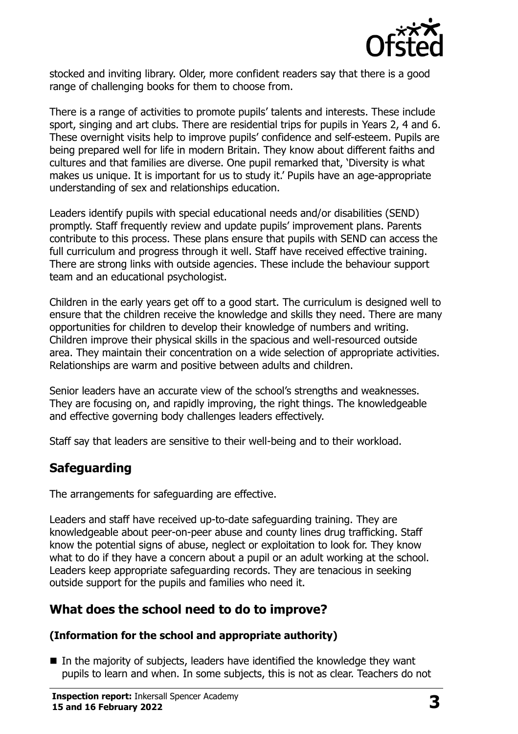

stocked and inviting library. Older, more confident readers say that there is a good range of challenging books for them to choose from.

There is a range of activities to promote pupils' talents and interests. These include sport, singing and art clubs. There are residential trips for pupils in Years 2, 4 and 6. These overnight visits help to improve pupils' confidence and self-esteem. Pupils are being prepared well for life in modern Britain. They know about different faiths and cultures and that families are diverse. One pupil remarked that, 'Diversity is what makes us unique. It is important for us to study it.' Pupils have an age-appropriate understanding of sex and relationships education.

Leaders identify pupils with special educational needs and/or disabilities (SEND) promptly. Staff frequently review and update pupils' improvement plans. Parents contribute to this process. These plans ensure that pupils with SEND can access the full curriculum and progress through it well. Staff have received effective training. There are strong links with outside agencies. These include the behaviour support team and an educational psychologist.

Children in the early years get off to a good start. The curriculum is designed well to ensure that the children receive the knowledge and skills they need. There are many opportunities for children to develop their knowledge of numbers and writing. Children improve their physical skills in the spacious and well-resourced outside area. They maintain their concentration on a wide selection of appropriate activities. Relationships are warm and positive between adults and children.

Senior leaders have an accurate view of the school's strengths and weaknesses. They are focusing on, and rapidly improving, the right things. The knowledgeable and effective governing body challenges leaders effectively.

Staff say that leaders are sensitive to their well-being and to their workload.

# **Safeguarding**

The arrangements for safeguarding are effective.

Leaders and staff have received up-to-date safeguarding training. They are knowledgeable about peer-on-peer abuse and county lines drug trafficking. Staff know the potential signs of abuse, neglect or exploitation to look for. They know what to do if they have a concern about a pupil or an adult working at the school. Leaders keep appropriate safeguarding records. They are tenacious in seeking outside support for the pupils and families who need it.

#### **What does the school need to do to improve?**

#### **(Information for the school and appropriate authority)**

■ In the majority of subjects, leaders have identified the knowledge they want pupils to learn and when. In some subjects, this is not as clear. Teachers do not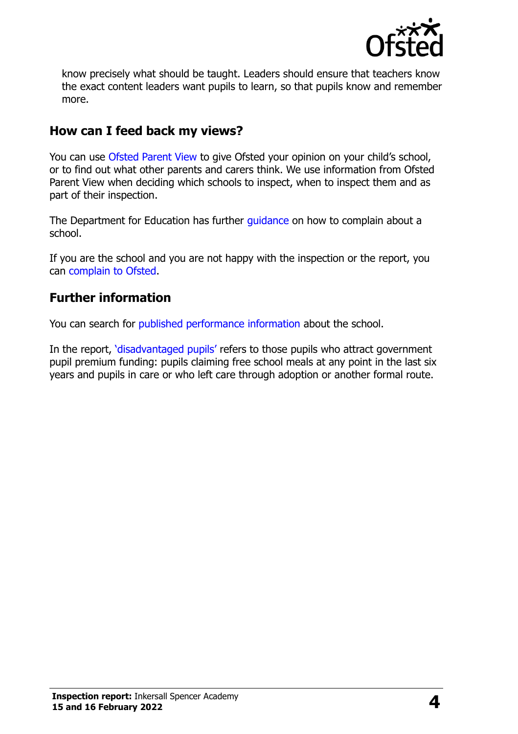

know precisely what should be taught. Leaders should ensure that teachers know the exact content leaders want pupils to learn, so that pupils know and remember more.

### **How can I feed back my views?**

You can use [Ofsted Parent View](http://parentview.ofsted.gov.uk/) to give Ofsted your opinion on your child's school, or to find out what other parents and carers think. We use information from Ofsted Parent View when deciding which schools to inspect, when to inspect them and as part of their inspection.

The Department for Education has further quidance on how to complain about a school.

If you are the school and you are not happy with the inspection or the report, you can [complain to Ofsted.](http://www.gov.uk/complain-ofsted-report)

### **Further information**

You can search for [published performance information](http://www.compare-school-performance.service.gov.uk/) about the school.

In the report, '[disadvantaged pupils](http://www.gov.uk/guidance/pupil-premium-information-for-schools-and-alternative-provision-settings)' refers to those pupils who attract government pupil premium funding: pupils claiming free school meals at any point in the last six years and pupils in care or who left care through adoption or another formal route.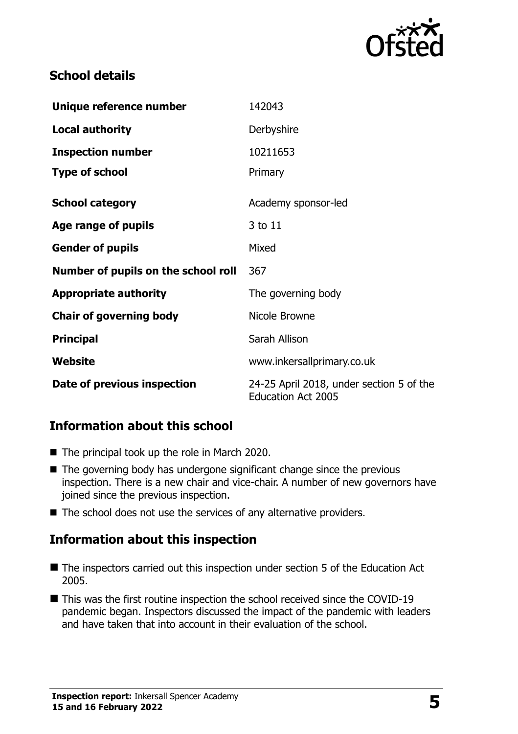

## **School details**

| Unique reference number             | 142043                                                                |
|-------------------------------------|-----------------------------------------------------------------------|
| <b>Local authority</b>              | Derbyshire                                                            |
| <b>Inspection number</b>            | 10211653                                                              |
| <b>Type of school</b>               | Primary                                                               |
| <b>School category</b>              | Academy sponsor-led                                                   |
| Age range of pupils                 | 3 to 11                                                               |
| <b>Gender of pupils</b>             | Mixed                                                                 |
| Number of pupils on the school roll | 367                                                                   |
| <b>Appropriate authority</b>        | The governing body                                                    |
| <b>Chair of governing body</b>      | Nicole Browne                                                         |
| <b>Principal</b>                    | Sarah Allison                                                         |
| <b>Website</b>                      | www.inkersallprimary.co.uk                                            |
| Date of previous inspection         | 24-25 April 2018, under section 5 of the<br><b>Education Act 2005</b> |

# **Information about this school**

- The principal took up the role in March 2020.
- $\blacksquare$  The governing body has undergone significant change since the previous inspection. There is a new chair and vice-chair. A number of new governors have joined since the previous inspection.
- The school does not use the services of any alternative providers.

#### **Information about this inspection**

- The inspectors carried out this inspection under section 5 of the Education Act 2005.
- This was the first routine inspection the school received since the COVID-19 pandemic began. Inspectors discussed the impact of the pandemic with leaders and have taken that into account in their evaluation of the school.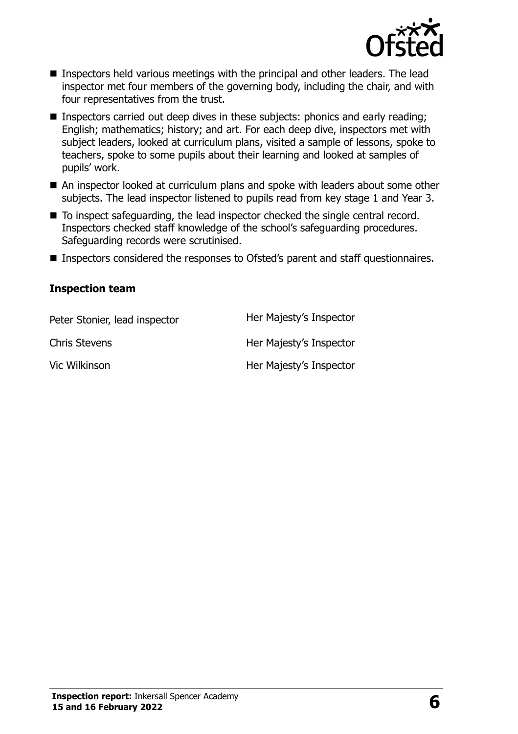

- Inspectors held various meetings with the principal and other leaders. The lead inspector met four members of the governing body, including the chair, and with four representatives from the trust.
- **Inspectors carried out deep dives in these subjects: phonics and early reading;** English; mathematics; history; and art. For each deep dive, inspectors met with subject leaders, looked at curriculum plans, visited a sample of lessons, spoke to teachers, spoke to some pupils about their learning and looked at samples of pupils' work.
- An inspector looked at curriculum plans and spoke with leaders about some other subjects. The lead inspector listened to pupils read from key stage 1 and Year 3.
- To inspect safeguarding, the lead inspector checked the single central record. Inspectors checked staff knowledge of the school's safeguarding procedures. Safeguarding records were scrutinised.
- Inspectors considered the responses to Ofsted's parent and staff questionnaires.

#### **Inspection team**

| Peter Stonier, lead inspector | Her Majesty's Inspector |
|-------------------------------|-------------------------|
| <b>Chris Stevens</b>          | Her Majesty's Inspector |
| Vic Wilkinson                 | Her Majesty's Inspector |